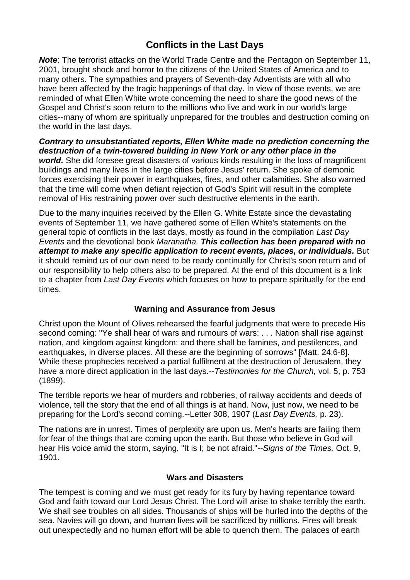# **Conflicts in the Last Days**

*Note*: The terrorist attacks on the World Trade Centre and the Pentagon on September 11, 2001, brought shock and horror to the citizens of the United States of America and to many others. The sympathies and prayers of Seventh-day Adventists are with all who have been affected by the tragic happenings of that day. In view of those events, we are reminded of what Ellen White wrote concerning the need to share the good news of the Gospel and Christ's soon return to the millions who live and work in our world's large cities--many of whom are spiritually unprepared for the troubles and destruction coming on the world in the last days.

## *Contrary to unsubstantiated reports, Ellen White made no prediction concerning the destruction of a twin-towered building in New York or any other place in the*

*world.* She did foresee great disasters of various kinds resulting in the loss of magnificent buildings and many lives in the large cities before Jesus' return. She spoke of demonic forces exercising their power in earthquakes, fires, and other calamities. She also warned that the time will come when defiant rejection of God's Spirit will result in the complete removal of His restraining power over such destructive elements in the earth.

Due to the many inquiries received by the Ellen G. White Estate since the devastating events of September 11, we have gathered some of Ellen White's statements on the general topic of conflicts in the last days, mostly as found in the compilation *Last Day Events* and the devotional book *Maranatha. This collection has been prepared with no attempt to make any specific application to recent events, places, or individuals.* But it should remind us of our own need to be ready continually for Christ's soon return and of our responsibility to help others also to be prepared. At the end of this document is a link to a chapter from *Last Day Events* which focuses on how to prepare spiritually for the end times.

# **Warning and Assurance from Jesus**

Christ upon the Mount of Olives rehearsed the fearful judgments that were to precede His second coming: "Ye shall hear of wars and rumours of wars: . . . Nation shall rise against nation, and kingdom against kingdom: and there shall be famines, and pestilences, and earthquakes, in diverse places. All these are the beginning of sorrows" [Matt. 24:6-8]. While these prophecies received a partial fulfilment at the destruction of Jerusalem, they have a more direct application in the last days.--*Testimonies for the Church,* vol. 5, p. 753 (1899).

The terrible reports we hear of murders and robberies, of railway accidents and deeds of violence, tell the story that the end of all things is at hand. Now, just now, we need to be preparing for the Lord's second coming.--Letter 308, 1907 (*Last Day Events,* p. 23).

The nations are in unrest. Times of perplexity are upon us. Men's hearts are failing them for fear of the things that are coming upon the earth. But those who believe in God will hear His voice amid the storm, saying, "It is I; be not afraid."--*Signs of the Times,* Oct. 9, 1901.

#### **Wars and Disasters**

The tempest is coming and we must get ready for its fury by having repentance toward God and faith toward our Lord Jesus Christ. The Lord will arise to shake terribly the earth. We shall see troubles on all sides. Thousands of ships will be hurled into the depths of the sea. Navies will go down, and human lives will be sacrificed by millions. Fires will break out unexpectedly and no human effort will be able to quench them. The palaces of earth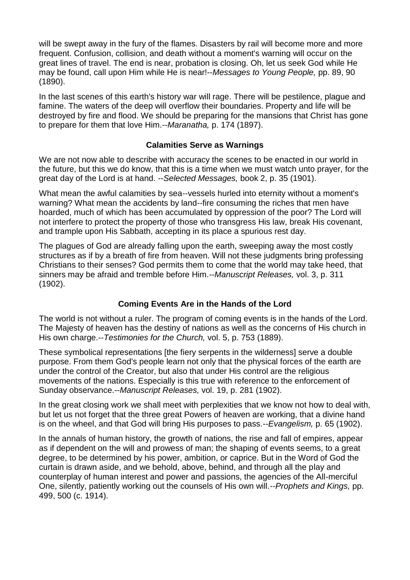will be swept away in the fury of the flames. Disasters by rail will become more and more frequent. Confusion, collision, and death without a moment's warning will occur on the great lines of travel. The end is near, probation is closing. Oh, let us seek God while He may be found, call upon Him while He is near!--*Messages to Young People,* pp. 89, 90 (1890).

In the last scenes of this earth's history war will rage. There will be pestilence, plague and famine. The waters of the deep will overflow their boundaries. Property and life will be destroyed by fire and flood. We should be preparing for the mansions that Christ has gone to prepare for them that love Him.--*Maranatha,* p. 174 (1897).

## **Calamities Serve as Warnings**

We are not now able to describe with accuracy the scenes to be enacted in our world in the future, but this we do know, that this is a time when we must watch unto prayer, for the great day of the Lord is at hand. --*Selected Messages,* book 2, p. 35 (1901).

What mean the awful calamities by sea--vessels hurled into eternity without a moment's warning? What mean the accidents by land--fire consuming the riches that men have hoarded, much of which has been accumulated by oppression of the poor? The Lord will not interfere to protect the property of those who transgress His law, break His covenant, and trample upon His Sabbath, accepting in its place a spurious rest day.

The plagues of God are already falling upon the earth, sweeping away the most costly structures as if by a breath of fire from heaven. Will not these judgments bring professing Christians to their senses? God permits them to come that the world may take heed, that sinners may be afraid and tremble before Him.--*Manuscript Releases,* vol. 3, p. 311 (1902).

# **Coming Events Are in the Hands of the Lord**

The world is not without a ruler. The program of coming events is in the hands of the Lord. The Majesty of heaven has the destiny of nations as well as the concerns of His church in His own charge.--*Testimonies for the Church,* vol. 5, p. 753 (1889).

These symbolical representations [the fiery serpents in the wilderness] serve a double purpose. From them God's people learn not only that the physical forces of the earth are under the control of the Creator, but also that under His control are the religious movements of the nations. Especially is this true with reference to the enforcement of Sunday observance.--*Manuscript Releases,* vol. 19, p. 281 (1902).

In the great closing work we shall meet with perplexities that we know not how to deal with, but let us not forget that the three great Powers of heaven are working, that a divine hand is on the wheel, and that God will bring His purposes to pass.--*Evangelism,* p. 65 (1902).

In the annals of human history, the growth of nations, the rise and fall of empires, appear as if dependent on the will and prowess of man; the shaping of events seems, to a great degree, to be determined by his power, ambition, or caprice. But in the Word of God the curtain is drawn aside, and we behold, above, behind, and through all the play and counterplay of human interest and power and passions, the agencies of the All-merciful One, silently, patiently working out the counsels of His own will.--*Prophets and Kings,* pp. 499, 500 (c. 1914).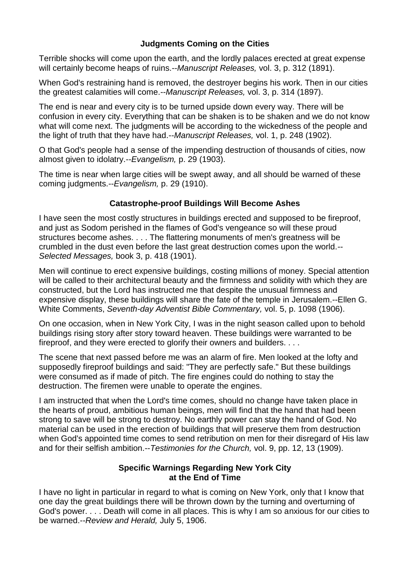## **Judgments Coming on the Cities**

Terrible shocks will come upon the earth, and the lordly palaces erected at great expense will certainly become heaps of ruins.--*Manuscript Releases,* vol. 3, p. 312 (1891).

When God's restraining hand is removed, the destroyer begins his work. Then in our cities the greatest calamities will come.--*Manuscript Releases,* vol. 3, p. 314 (1897).

The end is near and every city is to be turned upside down every way. There will be confusion in every city. Everything that can be shaken is to be shaken and we do not know what will come next. The judgments will be according to the wickedness of the people and the light of truth that they have had.--*Manuscript Releases,* vol. 1, p. 248 (1902).

O that God's people had a sense of the impending destruction of thousands of cities, now almost given to idolatry.--*Evangelism,* p. 29 (1903).

The time is near when large cities will be swept away, and all should be warned of these coming judgments.--*Evangelism,* p. 29 (1910).

## **Catastrophe-proof Buildings Will Become Ashes**

I have seen the most costly structures in buildings erected and supposed to be fireproof, and just as Sodom perished in the flames of God's vengeance so will these proud structures become ashes. . . . The flattering monuments of men's greatness will be crumbled in the dust even before the last great destruction comes upon the world.-- *Selected Messages,* book 3, p. 418 (1901).

Men will continue to erect expensive buildings, costing millions of money. Special attention will be called to their architectural beauty and the firmness and solidity with which they are constructed, but the Lord has instructed me that despite the unusual firmness and expensive display, these buildings will share the fate of the temple in Jerusalem.--Ellen G. White Comments, *Seventh-day Adventist Bible Commentary,* vol. 5, p. 1098 (1906).

On one occasion, when in New York City, I was in the night season called upon to behold buildings rising story after story toward heaven. These buildings were warranted to be fireproof, and they were erected to glorify their owners and builders. . . .

The scene that next passed before me was an alarm of fire. Men looked at the lofty and supposedly fireproof buildings and said: "They are perfectly safe." But these buildings were consumed as if made of pitch. The fire engines could do nothing to stay the destruction. The firemen were unable to operate the engines.

I am instructed that when the Lord's time comes, should no change have taken place in the hearts of proud, ambitious human beings, men will find that the hand that had been strong to save will be strong to destroy. No earthly power can stay the hand of God. No material can be used in the erection of buildings that will preserve them from destruction when God's appointed time comes to send retribution on men for their disregard of His law and for their selfish ambition.--*Testimonies for the Church,* vol. 9, pp. 12, 13 (1909).

#### **Specific Warnings Regarding New York City at the End of Time**

I have no light in particular in regard to what is coming on New York, only that I know that one day the great buildings there will be thrown down by the turning and overturning of God's power. . . . Death will come in all places. This is why I am so anxious for our cities to be warned.--*Review and Herald,* July 5, 1906.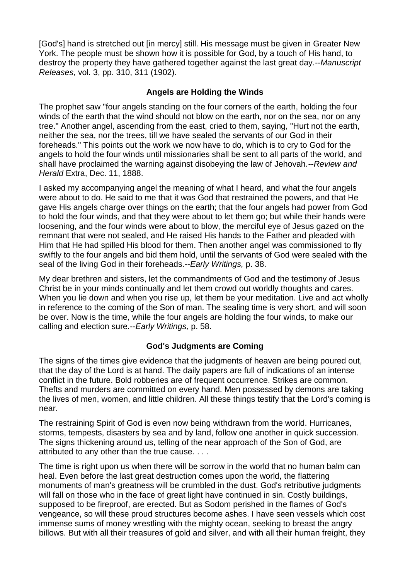[God's] hand is stretched out [in mercy] still. His message must be given in Greater New York. The people must be shown how it is possible for God, by a touch of His hand, to destroy the property they have gathered together against the last great day.--*Manuscript Releases,* vol. 3, pp. 310, 311 (1902).

# **Angels are Holding the Winds**

The prophet saw "four angels standing on the four corners of the earth, holding the four winds of the earth that the wind should not blow on the earth, nor on the sea, nor on any tree." Another angel, ascending from the east, cried to them, saying, "Hurt not the earth, neither the sea, nor the trees, till we have sealed the servants of our God in their foreheads." This points out the work we now have to do, which is to cry to God for the angels to hold the four winds until missionaries shall be sent to all parts of the world, and shall have proclaimed the warning against disobeying the law of Jehovah.--*Review and Herald* Extra, Dec. 11, 1888.

I asked my accompanying angel the meaning of what I heard, and what the four angels were about to do. He said to me that it was God that restrained the powers, and that He gave His angels charge over things on the earth; that the four angels had power from God to hold the four winds, and that they were about to let them go; but while their hands were loosening, and the four winds were about to blow, the merciful eye of Jesus gazed on the remnant that were not sealed, and He raised His hands to the Father and pleaded with Him that He had spilled His blood for them. Then another angel was commissioned to fly swiftly to the four angels and bid them hold, until the servants of God were sealed with the seal of the living God in their foreheads.--*Early Writings,* p. 38.

My dear brethren and sisters, let the commandments of God and the testimony of Jesus Christ be in your minds continually and let them crowd out worldly thoughts and cares. When you lie down and when you rise up, let them be your meditation. Live and act wholly in reference to the coming of the Son of man. The sealing time is very short, and will soon be over. Now is the time, while the four angels are holding the four winds, to make our calling and election sure.--*Early Writings,* p. 58.

# **God's Judgments are Coming**

The signs of the times give evidence that the judgments of heaven are being poured out, that the day of the Lord is at hand. The daily papers are full of indications of an intense conflict in the future. Bold robberies are of frequent occurrence. Strikes are common. Thefts and murders are committed on every hand. Men possessed by demons are taking the lives of men, women, and little children. All these things testify that the Lord's coming is near.

The restraining Spirit of God is even now being withdrawn from the world. Hurricanes, storms, tempests, disasters by sea and by land, follow one another in quick succession. The signs thickening around us, telling of the near approach of the Son of God, are attributed to any other than the true cause. . . .

The time is right upon us when there will be sorrow in the world that no human balm can heal. Even before the last great destruction comes upon the world, the flattering monuments of man's greatness will be crumbled in the dust. God's retributive judgments will fall on those who in the face of great light have continued in sin. Costly buildings, supposed to be fireproof, are erected. But as Sodom perished in the flames of God's vengeance, so will these proud structures become ashes. I have seen vessels which cost immense sums of money wrestling with the mighty ocean, seeking to breast the angry billows. But with all their treasures of gold and silver, and with all their human freight, they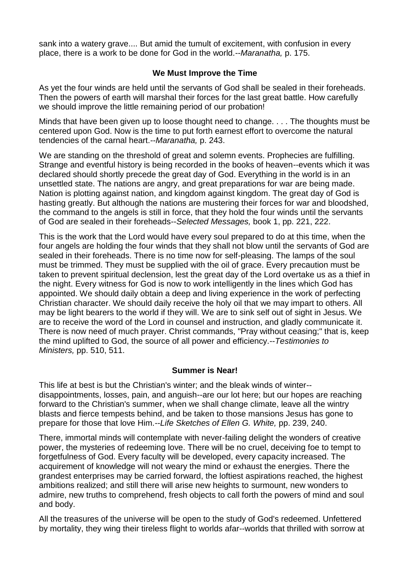sank into a watery grave.... But amid the tumult of excitement, with confusion in every place, there is a work to be done for God in the world.--*Maranatha,* p. 175.

## **We Must Improve the Time**

As yet the four winds are held until the servants of God shall be sealed in their foreheads. Then the powers of earth will marshal their forces for the last great battle. How carefully we should improve the little remaining period of our probation!

Minds that have been given up to loose thought need to change. . . . The thoughts must be centered upon God. Now is the time to put forth earnest effort to overcome the natural tendencies of the carnal heart.--*Maranatha,* p. 243.

We are standing on the threshold of great and solemn events. Prophecies are fulfilling. Strange and eventful history is being recorded in the books of heaven--events which it was declared should shortly precede the great day of God. Everything in the world is in an unsettled state. The nations are angry, and great preparations for war are being made. Nation is plotting against nation, and kingdom against kingdom. The great day of God is hasting greatly. But although the nations are mustering their forces for war and bloodshed, the command to the angels is still in force, that they hold the four winds until the servants of God are sealed in their foreheads--*Selected Messages,* book 1, pp. 221, 222.

This is the work that the Lord would have every soul prepared to do at this time, when the four angels are holding the four winds that they shall not blow until the servants of God are sealed in their foreheads. There is no time now for self-pleasing. The lamps of the soul must be trimmed. They must be supplied with the oil of grace. Every precaution must be taken to prevent spiritual declension, lest the great day of the Lord overtake us as a thief in the night. Every witness for God is now to work intelligently in the lines which God has appointed. We should daily obtain a deep and living experience in the work of perfecting Christian character. We should daily receive the holy oil that we may impart to others. All may be light bearers to the world if they will. We are to sink self out of sight in Jesus. We are to receive the word of the Lord in counsel and instruction, and gladly communicate it. There is now need of much prayer. Christ commands, "Pray without ceasing;" that is, keep the mind uplifted to God, the source of all power and efficiency.--*Testimonies to Ministers,* pp. 510, 511.

#### **Summer is Near!**

This life at best is but the Christian's winter; and the bleak winds of winter- disappointments, losses, pain, and anguish--are our lot here; but our hopes are reaching forward to the Christian's summer, when we shall change climate, leave all the wintry blasts and fierce tempests behind, and be taken to those mansions Jesus has gone to prepare for those that love Him.--*Life Sketches of Ellen G. White,* pp. 239, 240.

There, immortal minds will contemplate with never-failing delight the wonders of creative power, the mysteries of redeeming love. There will be no cruel, deceiving foe to tempt to forgetfulness of God. Every faculty will be developed, every capacity increased. The acquirement of knowledge will not weary the mind or exhaust the energies. There the grandest enterprises may be carried forward, the loftiest aspirations reached, the highest ambitions realized; and still there will arise new heights to surmount, new wonders to admire, new truths to comprehend, fresh objects to call forth the powers of mind and soul and body.

All the treasures of the universe will be open to the study of God's redeemed. Unfettered by mortality, they wing their tireless flight to worlds afar--worlds that thrilled with sorrow at